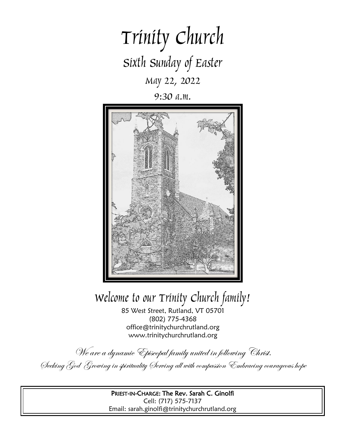

9:30 a.m.



## Welcome to our Trinity Church family!

85 West Street, Rutland, VT 05701 (802) 775-4368 office@trinitychurchrutland.org www.trinitychurchrutland.org

We are a dynamic Episcopal family united in following Christ. Seeking God Growing in spirituality Serving all with compassion Embracing courageous hope

> PRIEST-IN-CHARGE: The Rev. Sarah C. Ginolfi Cell: (717) 575-7137 Email: sarah.ginolfi@trinitychurchrutland.org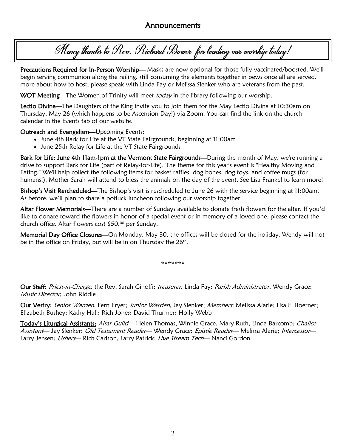### Announcements

Many thanks to Rev. Richard Bower for leading our worship today!

Precautions Required for In-Person Worship-Masks are now optional for those fully vaccinated/boosted. We'll begin serving communion along the railing, still consuming the elements together in pews once all are served. more about how to host, please speak with Linda Fay or Melissa Slenker who are veterans from the past.

WOT Meeting—The Women of Trinity will meet *today* in the library following our worship.

Lectio Divina—The Daughters of the King invite you to join them for the May Lectio Divina at 10:30am on Thursday, May 26 (which happens to be Ascension Day!) via Zoom. You can find the link on the church calendar in the Events tab of our website.

#### Outreach and Evangelism—Upcoming Events:

- June 4th Bark for Life at the VT State Fairgrounds, beginning at 11:00am
- June 25th Relay for Life at the VT State Fairgrounds

Bark for Life: June 4th 11am-1pm at the Vermont State Fairgrounds—During the month of May, we're running a drive to support Bark for Life (part of Relay-for-Life). The theme for this year's event is "Healthy Moving and Eating." We'll help collect the following items for basket raffles: dog bones, dog toys, and coffee mugs (for humans!). Mother Sarah will attend to bless the animals on the day of the event. See Lisa Frankel to learn more!

Bishop's Visit Rescheduled—The Bishop's visit is rescheduled to June 26 with the service beginning at 11:00am. As before, we'll plan to share a potluck luncheon following our worship together.

Altar Flower Memorials—There are a number of Sundays available to donate fresh flowers for the altar. If you'd like to donate toward the flowers in honor of a special event or in memory of a loved one, please contact the church office. Altar flowers cost \$50.<sup>00</sup> per Sunday.

Memorial Day Office Closures—On Monday, May 30, the offices will be closed for the holiday. Wendy will not be in the office on Friday, but will be in on Thursday the 26<sup>th</sup>.

\*\*\*\*\*\*\*\*\*\*\*\*\*

Our Staff: Priest-in-Charge, the Rev. Sarah Ginolfi; treasurer, Linda Fay; Parish Administrator, Wendy Grace; Music Director, John Riddle

Our Vestry: Senior Warden, Fern Fryer; Junior Warden, Jay Slenker; Members: Melissa Alarie; Lisa F. Boerner; Elizabeth Bushey; Kathy Hall; Rich Jones; David Thurmer; Holly Webb

Today's Liturgical Assistants: Altar Guild— Helen Thomas, Winnie Grace, Mary Ruth, Linda Barcomb; Chalice Assistant— Jay Slenker; Old Testament Reader— Wendy Grace; Epistle Reader— Melissa Alarie; Intercessor— Larry Jensen; Ushers-Rich Carlson, Larry Patrick; Live Stream Tech-Nanci Gordon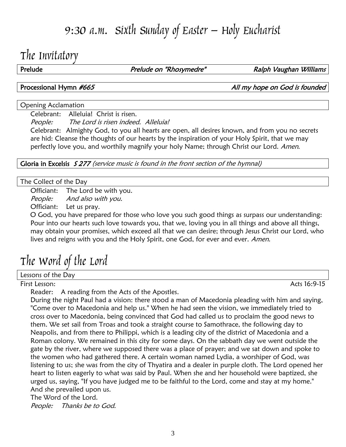## 9:30 a.m. Sixth Sunday of Easter – Holy Eucharist

### The Invitatory

Prelude **Prelude on "Rhosymedre"** Ralph Vaughan Williams

Processional Hymn #665 **All my hope on God is founded** 

#### Opening Acclamation

Celebrant: Alleluia! Christ is risen.

People: The Lord is risen indeed. Alleluia!

Celebrant: Almighty God, to you all hearts are open, all desires known, and from you no secrets are hid: Cleanse the thoughts of our hearts by the inspiration of your Holy Spirit, that we may perfectly love you, and worthily magnify your holy Name; through Christ our Lord. *Amen*.

Gloria in Excelsis 5277 (service music is found in the front section of the hymnal)

#### The Collect of the Day

Officiant: The Lord be with you.

People: And also with you.

Officiant: Let us pray.

O God, you have prepared for those who love you such good things as surpass our understanding: Pour into our hearts such love towards you, that we, loving you in all things and above all things, may obtain your promises, which exceed all that we can desire; through Jesus Christ our Lord, who lives and reigns with you and the Holy Spirit, one God, for ever and ever. Amen.

# The Word of the Lord

Lessons of the Day

First Lesson: Acts 16:9-15

Reader: A reading from the Acts of the Apostles.

During the night Paul had a vision: there stood a man of Macedonia pleading with him and saying, "Come over to Macedonia and help us." When he had seen the vision, we immediately tried to cross over to Macedonia, being convinced that God had called us to proclaim the good news to them. We set sail from Troas and took a straight course to Samothrace, the following day to Neapolis, and from there to Philippi, which is a leading city of the district of Macedonia and a Roman colony. We remained in this city for some days. On the sabbath day we went outside the gate by the river, where we supposed there was a place of prayer; and we sat down and spoke to the women who had gathered there. A certain woman named Lydia, a worshiper of God, was listening to us; she was from the city of Thyatira and a dealer in purple cloth. The Lord opened her heart to listen eagerly to what was said by Paul. When she and her household were baptized, she urged us, saying, "If you have judged me to be faithful to the Lord, come and stay at my home." And she prevailed upon us.

The Word of the Lord.

People: Thanks be to God.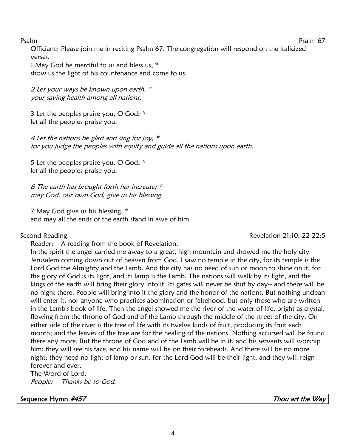Officiant: Please join me in reciting Psalm 67. The congregation will respond on the italicized verses.

1 May God be merciful to us and bless us, \*

show us the light of his countenance and come to us.

2 Let your ways be known upon earth, \* your saving health among all nations.

3 Let the peoples praise you, O God; \* let all the peoples praise you.

4 Let the nations be glad and sing for joy, \* for you judge the peoples with equity and guide all the nations upon earth.

5 Let the peoples praise you, O God; \* let all the peoples praise you.

6 The earth has brought forth her increase; \* may God, our own God, give us his blessing.

7 May God give us his blessing, \*

and may all the ends of the earth stand in awe of him.

Second Reading **Second Reading**  $\alpha$  22-22:5

Reader: A reading from the book of Revelation.

In the spirit the angel carried me away to a great, high mountain and showed me the holy city Jerusalem coming down out of heaven from God. I saw no temple in the city, for its temple is the Lord God the Almighty and the Lamb. And the city has no need of sun or moon to shine on it, for the glory of God is its light, and its lamp is the Lamb. The nations will walk by its light, and the kings of the earth will bring their glory into it. Its gates will never be shut by day-- and there will be no night there. People will bring into it the glory and the honor of the nations. But nothing unclean will enter it, nor anyone who practices abomination or falsehood, but only those who are written in the Lamb's book of life. Then the angel showed me the river of the water of life, bright as crystal, flowing from the throne of God and of the Lamb through the middle of the street of the city. On either side of the river is the tree of life with its twelve kinds of fruit, producing its fruit each month; and the leaves of the tree are for the healing of the nations. Nothing accursed will be found there any more. But the throne of God and of the Lamb will be in it, and his servants will worship him; they will see his face, and his name will be on their foreheads. And there will be no more night; they need no light of lamp or sun, for the Lord God will be their light, and they will reign forever and ever.

The Word of Lord. People: Thanks be to God.

Sequence Hymn #457 Sequence Hymn #457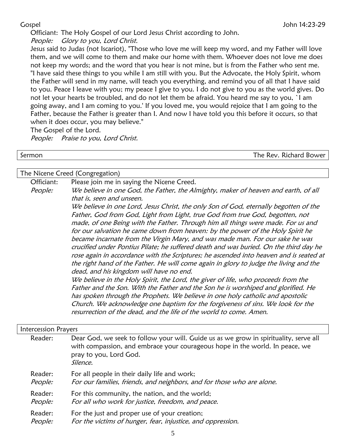Officiant: The Holy Gospel of our Lord Jesus Christ according to John.

People: Glory to you, Lord Christ.

Jesus said to Judas (not Iscariot), "Those who love me will keep my word, and my Father will love them, and we will come to them and make our home with them. Whoever does not love me does not keep my words; and the word that you hear is not mine, but is from the Father who sent me. "I have said these things to you while I am still with you. But the Advocate, the Holy Spirit, whom the Father will send in my name, will teach you everything, and remind you of all that I have said to you. Peace I leave with you; my peace I give to you. I do not give to you as the world gives. Do not let your hearts be troubled, and do not let them be afraid. You heard me say to you, `I am going away, and I am coming to you.' If you loved me, you would rejoice that I am going to the Father, because the Father is greater than I. And now I have told you this before it occurs, so that when it does occur, you may believe."

The Gospel of the Lord.

People: Praise to you, Lord Christ.

Sermon **The Rev. Richard Bower** 

The Nicene Creed (Congregation)

Officiant: Please join me in saying the Nicene Creed.

People: We believe in one God, the Father, the Almighty, maker of heaven and earth, of all that is, seen and unseen.

We believe in one Lord, Jesus Christ, the only Son of God, eternally begotten of the Father, God from God, Light from Light, true God from true God, begotten, not made, of one Being with the Father. Through him all things were made. For us and for our salvation he came down from heaven: by the power of the Holy Spirit he became incarnate from the Virgin Mary, and was made man. For our sake he was crucified under Pontius Pilate; he suffered death and was buried. On the third day he rose again in accordance with the Scriptures; he ascended into heaven and is seated at the right hand of the Father. He will come again in glory to judge the living and the dead, and his kingdom will have no end.

We believe in the Holy Spirit, the Lord, the giver of life, who proceeds from the Father and the Son. With the Father and the Son he is worshiped and glorified. He has spoken through the Prophets. We believe in one holy catholic and apostolic Church. We acknowledge one baptism for the forgiveness of sins. We look for the resurrection of the dead, and the life of the world to come. Amen.

| Intercession Prayers |                                                                                                                                                                                                             |  |
|----------------------|-------------------------------------------------------------------------------------------------------------------------------------------------------------------------------------------------------------|--|
| Reader:              | Dear God, we seek to follow your will. Guide us as we grow in spirituality, serve all<br>with compassion, and embrace your courageous hope in the world. In peace, we<br>pray to you, Lord God.<br>Silence. |  |
| Reader:              | For all people in their daily life and work;                                                                                                                                                                |  |
| People:              | For our families, friends, and neighbors, and for those who are alone.                                                                                                                                      |  |
| Reader:              | For this community, the nation, and the world;                                                                                                                                                              |  |
| People:              | For all who work for justice, freedom, and peace.                                                                                                                                                           |  |
| Reader:              | For the just and proper use of your creation;                                                                                                                                                               |  |
| People:              | For the victims of hunger, fear, injustice, and oppression.                                                                                                                                                 |  |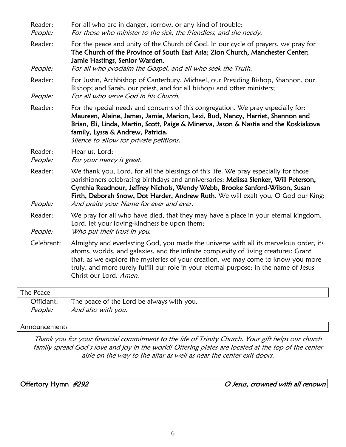| Reader:<br>People: | For all who are in danger, sorrow, or any kind of trouble;<br>For those who minister to the sick, the friendless, and the needy.                                                                                                                                                                                                                                                            |
|--------------------|---------------------------------------------------------------------------------------------------------------------------------------------------------------------------------------------------------------------------------------------------------------------------------------------------------------------------------------------------------------------------------------------|
| Reader:<br>People: | For the peace and unity of the Church of God. In our cycle of prayers, we pray for<br>The Church of the Province of South East Asia; Zion Church, Manchester Center;<br>Jamie Hastings, Senior Warden.<br>For all who proclaim the Gospel, and all who seek the Truth.                                                                                                                      |
| Reader:<br>People: | For Justin, Archbishop of Canterbury, Michael, our Presiding Bishop, Shannon, our<br>Bishop; and Sarah, our priest, and for all bishops and other ministers;<br>For all who serve God in his Church.                                                                                                                                                                                        |
| Reader:            | For the special needs and concerns of this congregation. We pray especially for:<br>Maureen, Alaine, James, Jamie, Marion, Lexi, Bud, Nancy, Harriet, Shannon and<br>Brian, Eli, Linda, Martin, Scott, Paige & Minerva, Jason & Nastia and the Koskiakova<br>family, Lyssa & Andrew, Patricia.<br>Silence to allow for private petitions.                                                   |
| Reader:<br>People: | Hear us, Lord;<br>For your mercy is great.                                                                                                                                                                                                                                                                                                                                                  |
| Reader:<br>People: | We thank you, Lord, for all the blessings of this life. We pray especially for those<br>parishioners celebrating birthdays and anniversaries: Melissa Slenker, Will Peterson,<br>Cynthia Readnour, Jeffrey Nichols, Wendy Webb, Brooke Sanford-Wilson, Susan<br>Firth, Deborah Snow, Dot Harder, Andrew Ruth. We will exalt you, O God our King;<br>And praise your Name for ever and ever. |
| Reader:<br>People: | We pray for all who have died, that they may have a place in your eternal kingdom.<br>Lord, let your loving-kindness be upon them;<br>Who put their trust in you.                                                                                                                                                                                                                           |
| Celebrant:         | Almighty and everlasting God, you made the universe with all its marvelous order, its<br>atoms, worlds, and galaxies, and the infinite complexity of living creatures: Grant<br>that, as we explore the mysteries of your creation, we may come to know you more<br>truly, and more surely fulfill our role in your eternal purpose; in the name of Jesus<br>Christ our Lord. Amen.         |
| The Peace          |                                                                                                                                                                                                                                                                                                                                                                                             |

| Officiant:     | The peace of the Lord be always with you. |  |
|----------------|-------------------------------------------|--|
| <i>People:</i> | And also with you.                        |  |

#### Announcements

Thank you for your financial commitment to the life of Trinity Church. Your gift helps our church family spread God's love and joy in the world! Offering plates are located at the top of the center aisle on the way to the altar as well as near the center exit doors.

Offertory Hymn #292 Offertory Hymn #292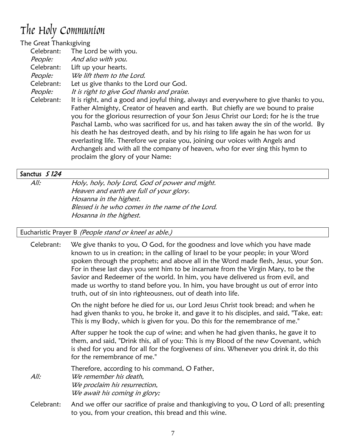## The Holy Communion

| The Great Thanksgiving |                                                                                                                                                                                                                                                                                                                                                                                                                                                                                                                                                                                                                                                            |
|------------------------|------------------------------------------------------------------------------------------------------------------------------------------------------------------------------------------------------------------------------------------------------------------------------------------------------------------------------------------------------------------------------------------------------------------------------------------------------------------------------------------------------------------------------------------------------------------------------------------------------------------------------------------------------------|
| Celebrant:             | The Lord be with you.                                                                                                                                                                                                                                                                                                                                                                                                                                                                                                                                                                                                                                      |
| People:                | And also with you.                                                                                                                                                                                                                                                                                                                                                                                                                                                                                                                                                                                                                                         |
| Celebrant:             | Lift up your hearts.                                                                                                                                                                                                                                                                                                                                                                                                                                                                                                                                                                                                                                       |
| People:                | We lift them to the Lord.                                                                                                                                                                                                                                                                                                                                                                                                                                                                                                                                                                                                                                  |
| Celebrant:             | Let us give thanks to the Lord our God.                                                                                                                                                                                                                                                                                                                                                                                                                                                                                                                                                                                                                    |
| People:                | It is right to give God thanks and praise.                                                                                                                                                                                                                                                                                                                                                                                                                                                                                                                                                                                                                 |
| Celebrant:             | It is right, and a good and joyful thing, always and everywhere to give thanks to you,<br>Father Almighty, Creator of heaven and earth. But chiefly are we bound to praise<br>you for the glorious resurrection of your Son Jesus Christ our Lord; for he is the true<br>Paschal Lamb, who was sacrificed for us, and has taken away the sin of the world. By<br>his death he has destroyed death, and by his rising to life again he has won for us<br>everlasting life. Therefore we praise you, joining our voices with Angels and<br>Archangels and with all the company of heaven, who for ever sing this hymn to<br>proclaim the glory of your Name: |

#### Sanctus S 124

All: Holy, holy, holy Lord, God of power and might. Heaven and earth are full of your glory. Hosanna in the highest. Blessed is he who comes in the name of the Lord. Hosanna in the highest.

### Eucharistic Prayer B (People stand or kneel as able.)

Celebrant: We give thanks to you, O God, for the goodness and love which you have made known to us in creation; in the calling of Israel to be your people; in your Word spoken through the prophets; and above all in the Word made flesh, Jesus, your Son. For in these last days you sent him to be incarnate from the Virgin Mary, to be the Savior and Redeemer of the world. In him, you have delivered us from evil, and made us worthy to stand before you. In him, you have brought us out of error into truth, out of sin into righteousness, out of death into life.

> On the night before he died for us, our Lord Jesus Christ took bread; and when he had given thanks to you, he broke it, and gave it to his disciples, and said, "Take, eat: This is my Body, which is given for you. Do this for the remembrance of me."

> After supper he took the cup of wine; and when he had given thanks, he gave it to them, and said, "Drink this, all of you: This is my Blood of the new Covenant, which is shed for you and for all for the forgiveness of sins. Whenever you drink it, do this for the remembrance of me."

Therefore, according to his command, O Father, All: We remember his death, We proclaim his resurrection, We await his coming in glory;

Celebrant: And we offer our sacrifice of praise and thanksgiving to you, O Lord of all; presenting to you, from your creation, this bread and this wine.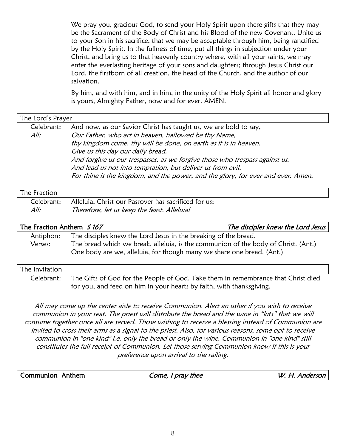We pray you, gracious God, to send your Holy Spirit upon these gifts that they may be the Sacrament of the Body of Christ and his Blood of the new Covenant. Unite us to your Son in his sacrifice, that we may be acceptable through him, being sanctified by the Holy Spirit. In the fullness of time, put all things in subjection under your Christ, and bring us to that heavenly country where, with all your saints, we may enter the everlasting heritage of your sons and daughters; through Jesus Christ our Lord, the firstborn of all creation, the head of the Church, and the author of our salvation.

By him, and with him, and in him, in the unity of the Holy Spirit all honor and glory is yours, Almighty Father, now and for ever. AMEN.

| The Lord's Prayer  |                                                                                                                                                                                                                                                                                                                                                                                                                                                                    |
|--------------------|--------------------------------------------------------------------------------------------------------------------------------------------------------------------------------------------------------------------------------------------------------------------------------------------------------------------------------------------------------------------------------------------------------------------------------------------------------------------|
| Celebrant:<br>All: | And now, as our Savior Christ has taught us, we are bold to say,<br>Our Father, who art in heaven, hallowed be thy Name,<br>thy kingdom come, thy will be done, on earth as it is in heaven.<br>Give us this day our daily bread.<br>And forgive us our trespasses, as we forgive those who trespass against us.<br>And lead us not into temptation, but deliver us from evil.<br>For thine is the kingdom, and the power, and the glory, for ever and ever. Amen. |
| The Fraction       |                                                                                                                                                                                                                                                                                                                                                                                                                                                                    |
| Celebrant:         | Alleluia, Christ our Passover has sacrificed for us;                                                                                                                                                                                                                                                                                                                                                                                                               |

All: Therefore, let us keep the feast. Alleluia!

| The Fraction Anthem 5167 |                                                                                                                                                                                                                                | The disciples knew the Lord Jesus |
|--------------------------|--------------------------------------------------------------------------------------------------------------------------------------------------------------------------------------------------------------------------------|-----------------------------------|
| Antiphon:<br>Verses:     | The disciples knew the Lord Jesus in the breaking of the bread.<br>The bread which we break, alleluia, is the communion of the body of Christ. (Ant.)<br>One body are we, alleluia, for though many we share one bread. (Ant.) |                                   |
| The Invitation           |                                                                                                                                                                                                                                |                                   |
| Celebrant:               | The Gifts of God for the People of God. Take them in remembrance that Christ died<br>for you, and feed on him in your hearts by faith, with thanksgiving.                                                                      |                                   |

All may come up the center aisle to receive Communion. Alert an usher if you wish to receive communion in your seat. The priest will distribute the bread and the wine in "kits" that we will consume together once all are served. Those wishing to receive a blessing instead of Communion are invited to cross their arms as a signal to the priest. Also, for various reasons, some opt to receive communion in "one kind" i.e. only the bread or only the wine. Communion in "one kind" still constitutes the full receipt of Communion. Let those serving Communion know if this is your preference upon arrival to the railing.

| <b>Communion Anthem</b> | Come, I pray thee | W. H. Anderson |
|-------------------------|-------------------|----------------|
|                         |                   |                |